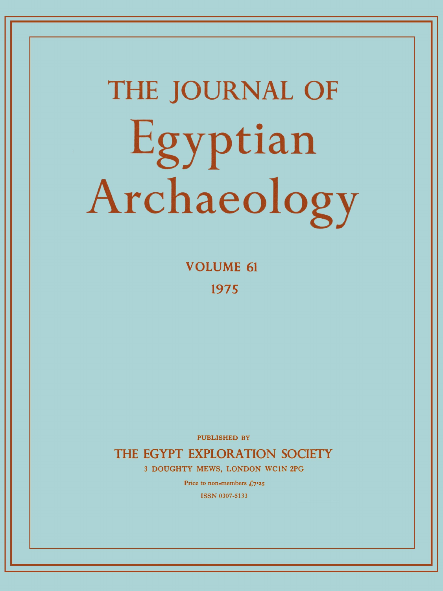# **THE JOURNAL OF**  Egyptian Archaeology

**VOLUME 61 197 5** 

PUBLISHED BY

**THE EGYPT EXPLORATION SOCIETY** 

**3 DOUGHTY MEWS, LONDON WC1N 2PG** 

Price to non-members  $f_{0.7}$ <sup>25</sup>

ISSN 0307-5133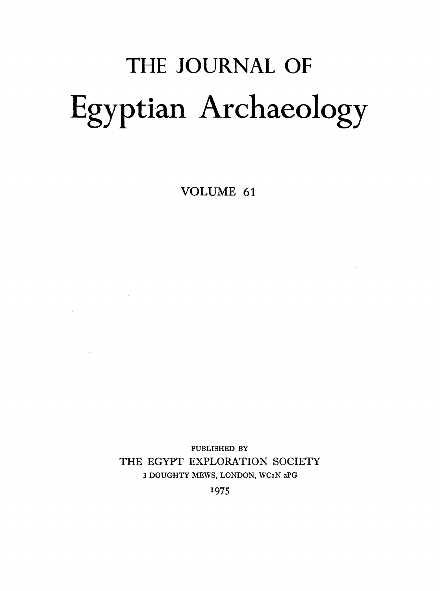# THE JOURNAL OF Egyptian Archaeology

VOLUME 61

 $\mathcal{L}^{\text{max}}_{\text{max}}$  ,  $\mathcal{L}^{\text{max}}_{\text{max}}$ 

 $\mathcal{L}^{\text{max}}_{\text{max}}$ 

PUBLISHED BY THE EGYPT EXPLORATION SOCIETY 3 DOUGHTY MEWS, LONDON, WC1N 2PG

1975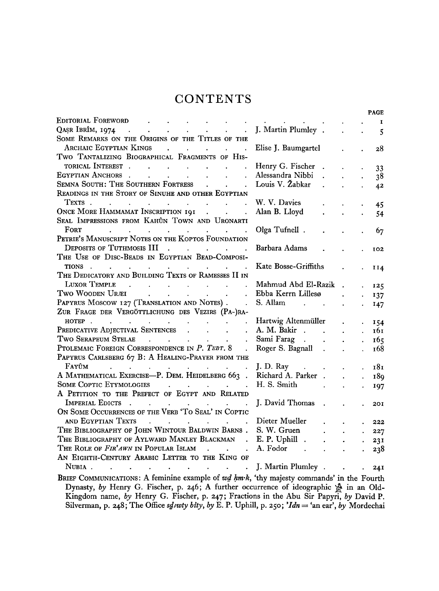## **CONTENTS**

|                                                                                                                                                                                                                                                                                                                                                                                                                                                                                                                      |                                                  |                                  |                      |                      | <b>PAGE</b>  |
|----------------------------------------------------------------------------------------------------------------------------------------------------------------------------------------------------------------------------------------------------------------------------------------------------------------------------------------------------------------------------------------------------------------------------------------------------------------------------------------------------------------------|--------------------------------------------------|----------------------------------|----------------------|----------------------|--------------|
| EDITORIAL FOREWORD                                                                                                                                                                                                                                                                                                                                                                                                                                                                                                   |                                                  |                                  |                      |                      | $\mathbf{I}$ |
| QASR IBRÎM, 1974<br>$\mathcal{L}(\mathbf{X})$ . The contribution of the contribution of the contribution of the contribution of the contribution of the contribution of the contribution of the contribution of the contribution of the contribution of the<br>$\ddot{\phantom{0}}$                                                                                                                                                                                                                                  | J. Martin Plumley.                               |                                  | $\ddot{\phantom{a}}$ |                      | 5            |
| SOME REMARKS ON THE ORIGINS OF THE TITLES OF THE                                                                                                                                                                                                                                                                                                                                                                                                                                                                     |                                                  |                                  |                      |                      |              |
| ARCHAIC EGYPTIAN KINGS                                                                                                                                                                                                                                                                                                                                                                                                                                                                                               | Elise J. Baumgartel                              |                                  |                      |                      | 28           |
| TWO TANTALIZING BIOGRAPHICAL FRAGMENTS OF HIS-                                                                                                                                                                                                                                                                                                                                                                                                                                                                       |                                                  |                                  |                      |                      |              |
| TORICAL INTEREST                                                                                                                                                                                                                                                                                                                                                                                                                                                                                                     | Henry G. Fischer                                 |                                  |                      |                      | 33           |
| EGYPTIAN ANCHORS.<br>$\mathcal{L}(\mathcal{A})$ . The contribution of the contribution of $\mathcal{A}$<br>$\ddot{\phantom{0}}$                                                                                                                                                                                                                                                                                                                                                                                      | Alessandra Nibbi                                 | $\mathbf{L}^{\text{max}}$        | $\ddot{\phantom{a}}$ |                      | 38           |
| SEMNA SOUTH: THE SOUTHERN FORTRESS<br>$\Delta \sim 10$                                                                                                                                                                                                                                                                                                                                                                                                                                                               | Louis V. Žabkar                                  | $\mathbf{z} = \mathbf{z}$        | $\ddot{\phantom{0}}$ | $\ddot{\phantom{a}}$ | 42           |
| READINGS IN THE STORY OF SINUHE AND OTHER EGYPTIAN                                                                                                                                                                                                                                                                                                                                                                                                                                                                   |                                                  |                                  |                      |                      |              |
| TEXTS                                                                                                                                                                                                                                                                                                                                                                                                                                                                                                                | W. V. Davies                                     |                                  |                      |                      | 45           |
| ONCE MORE HAMMAMAT INSCRIPTION 191                                                                                                                                                                                                                                                                                                                                                                                                                                                                                   | Alan B. Lloyd                                    |                                  | $\ddot{\phantom{a}}$ | $\ddot{\phantom{a}}$ | 54           |
| SEAL IMPRESSIONS FROM KAHÛN TOWN AND URONARTI                                                                                                                                                                                                                                                                                                                                                                                                                                                                        |                                                  |                                  |                      |                      |              |
| <b>FORT</b><br>$\mathcal{L}^{\mathcal{A}}$ . The contribution of the contribution of the contribution of the contribution of the contribution of the contribution of the contribution of the contribution of the contribution of the contribution of the                                                                                                                                                                                                                                                             | Olga Tufnell.                                    |                                  | $\ddot{\phantom{0}}$ |                      | 67           |
| PETRIE'S MANUSCRIPT NOTES ON THE KOPTOS FOUNDATION                                                                                                                                                                                                                                                                                                                                                                                                                                                                   |                                                  |                                  |                      |                      |              |
| DEPOSITS OF TUTHMOSIS III                                                                                                                                                                                                                                                                                                                                                                                                                                                                                            | Barbara Adams                                    |                                  |                      |                      | 102          |
| THE USE OF DISC-BEADS IN EGYPTIAN BEAD-COMPOSI-                                                                                                                                                                                                                                                                                                                                                                                                                                                                      |                                                  |                                  |                      |                      |              |
| TIONS                                                                                                                                                                                                                                                                                                                                                                                                                                                                                                                | Kate Bosse-Griffiths                             |                                  |                      |                      | II4          |
| THE DEDICATORY AND BUILDING TEXTS OF RAMESSES II IN                                                                                                                                                                                                                                                                                                                                                                                                                                                                  |                                                  |                                  |                      |                      |              |
| LUXOR TEMPLE<br>$\mathcal{L}^{\mathcal{A}}(\mathcal{A})$ . The contribution of the contribution of the contribution of $\mathcal{A}$                                                                                                                                                                                                                                                                                                                                                                                 | Mahmud Abd El-Razik                              |                                  |                      |                      | 125          |
| $\mathbf{r} = \mathbf{r} \cdot \mathbf{r}$ , and the set of the set of the set of the set of the set of the set of the set of the set of the set of the set of the set of the set of the set of the set of the set of the set of the set of the<br>Two Wooden Uræi<br>$\ddot{\phantom{0}}$                                                                                                                                                                                                                           | Ebba Kerrn Lillesø                               |                                  |                      |                      | 137          |
| PAPYRUS MOSCOW 127 (TRANSLATION AND NOTES).<br>$\sim$                                                                                                                                                                                                                                                                                                                                                                                                                                                                |                                                  |                                  | $\ddot{\phantom{a}}$ |                      | 147          |
| ZUR FRAGE DER VERGÖTTLICHUNG DES VEZIRS (PA-)RA-                                                                                                                                                                                                                                                                                                                                                                                                                                                                     |                                                  |                                  |                      |                      |              |
|                                                                                                                                                                                                                                                                                                                                                                                                                                                                                                                      | Hartwig Altenmüller                              |                                  | $\ddot{\phantom{a}}$ |                      | 154          |
| HOTEP<br>PREDICATIVE ADJECTIVAL SENTENCES<br>$\ddot{\phantom{a}}$                                                                                                                                                                                                                                                                                                                                                                                                                                                    | A. M. Bakir                                      |                                  | $\mathbf{r}$         |                      | 161          |
| Two Serapeum Stelae (Called and Called and Called and Called and Called and Called and Called and Called and C<br>$\ddot{\phantom{a}}$                                                                                                                                                                                                                                                                                                                                                                               | Sami Farag                                       |                                  | $\ddot{\phantom{a}}$ | $\mathbf{r}$         | 165          |
| PTOLEMAIC FOREIGN CORRESPONDENCE IN P. TEBT. 8<br>$\ddot{\phantom{a}}$                                                                                                                                                                                                                                                                                                                                                                                                                                               | Roger S. Bagnall .                               |                                  | $\ddot{\phantom{0}}$ | $\ddot{\phantom{a}}$ | 168          |
| PAPYRUS CARLSBERG 67 B: A HEALING-PRAYER FROM THE                                                                                                                                                                                                                                                                                                                                                                                                                                                                    |                                                  |                                  |                      |                      |              |
| $\text{FAY^{\hat{U}M}}$                                                                                                                                                                                                                                                                                                                                                                                                                                                                                              | J. D. Ray $\cdot$ .                              |                                  |                      |                      | 181          |
| A MATHEMATICAL EXERCISE-P. DEM. HEIDELBERG 663.                                                                                                                                                                                                                                                                                                                                                                                                                                                                      | Richard A. Parker.                               |                                  | $\mathbf{A}$         | $\ddot{\phantom{0}}$ | 189          |
| SOME COPTIC ETYMOLOGIES                                                                                                                                                                                                                                                                                                                                                                                                                                                                                              | H. S. Smith<br><b>Contract Contract Contract</b> |                                  | $\ddot{\phantom{a}}$ |                      | 197          |
| A PETITION TO THE PREFECT OF EGYPT AND RELATED                                                                                                                                                                                                                                                                                                                                                                                                                                                                       |                                                  |                                  |                      |                      |              |
| IMPERIAL EDICTS.<br>$\mathbf{a}^{(1)}$ and $\mathbf{a}^{(2)}$ and $\mathbf{a}^{(3)}$ and $\mathbf{a}^{(4)}$ and $\mathbf{a}^{(5)}$                                                                                                                                                                                                                                                                                                                                                                                   | J. David Thomas                                  |                                  |                      |                      | 201          |
| ON SOME OCCURRENCES OF THE VERB 'TO SEAL' IN COPTIC                                                                                                                                                                                                                                                                                                                                                                                                                                                                  |                                                  |                                  |                      |                      |              |
| AND EGYPTIAN TEXTS<br>$\mathcal{L}^{\text{max}}(\mathcal{L}^{\text{max}}(\mathcal{L}^{\text{max}}(\mathcal{L}^{\text{max}}(\mathcal{L}^{\text{max}}(\mathcal{L}^{\text{max}}(\mathcal{L}^{\text{max}}(\mathcal{L}^{\text{max}}(\mathcal{L}^{\text{max}}(\mathcal{L}^{\text{max}}(\mathcal{L}^{\text{max}}(\mathcal{L}^{\text{max}}(\mathcal{L}^{\text{max}}(\mathcal{L}^{\text{max}}(\mathcal{L}^{\text{max}}(\mathcal{L}^{\text{max}}(\mathcal{L}^{\text{max}}(\mathcal{L}^{\text{max}}(\mathcal{$<br>$\mathcal{L}$ | Dieter Mueller                                   |                                  |                      |                      | 222          |
| THE BIBLIOGRAPHY OF JOHN WINTOUR BALDWIN BARNS.                                                                                                                                                                                                                                                                                                                                                                                                                                                                      | S. W. Gruen                                      | $\bullet$ . The set of $\bullet$ | $\ddot{\phantom{a}}$ |                      |              |
| THE BIBLIOGRAPHY OF AYLWARD MANLEY BLACKMAN . E. P. Uphill .                                                                                                                                                                                                                                                                                                                                                                                                                                                         |                                                  | $\ddot{\phantom{a}}$             | $\ddot{\phantom{a}}$ | $\ddot{\phantom{0}}$ | 227          |
| THE ROLE OF FIR'AWN IN POPULAR ISLAM                                                                                                                                                                                                                                                                                                                                                                                                                                                                                 | A. Fodor .                                       |                                  |                      | $\bullet$ .          | 231          |
| AN EIGHTH-CENTURY ARABIC LETTER TO THE KING OF                                                                                                                                                                                                                                                                                                                                                                                                                                                                       |                                                  |                                  | $\ddot{\phantom{0}}$ |                      | 238          |
| NUBIA.<br>$\mathcal{L}^{\text{max}}$ and $\mathcal{L}^{\text{max}}$<br>$\ddot{\phantom{a}}$<br>$\mathbf{r} = \mathbf{r}$<br>$\mathbf{r}$                                                                                                                                                                                                                                                                                                                                                                             | J. Martin Plumley                                |                                  |                      |                      |              |
|                                                                                                                                                                                                                                                                                                                                                                                                                                                                                                                      |                                                  |                                  |                      |                      | 24I          |
| BRIEF COMMUNICATIONS: A feminine example of wd hm·k, 'thy majesty commands' in the Fourth                                                                                                                                                                                                                                                                                                                                                                                                                            |                                                  |                                  |                      |                      |              |
| Dynasty, by Henry G. Fischer, p. 246: A further occurrence of ideographic $\mathbb{R}$ in an Old-                                                                                                                                                                                                                                                                                                                                                                                                                    |                                                  |                                  |                      |                      |              |

**Dynasty,** by Henry G. Fischer, p. 246; A further occurrence of ideographic  $\mathbb{S}$  in an Old-**Kingdom name,** *by* **Henry G. Fischer, p.** 247**; Fractions in the Abu Sir Papyri,** *by* **David P. Silverman, p. 248;** The Office *sdivity bity, by* E. P. Uphill, p. 250; *Idn* = 'an ear', *by* Mordechai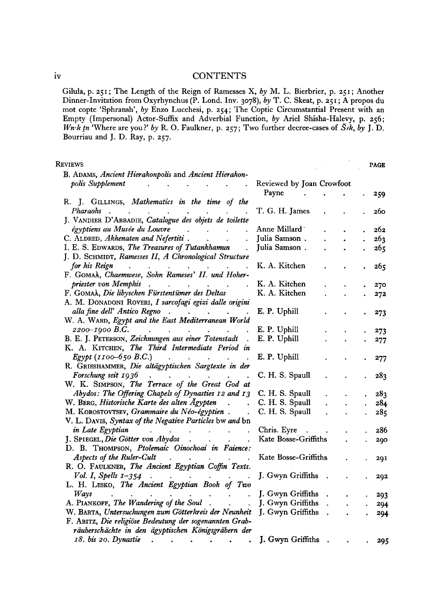#### iv CONTENTS

**Gilula, p. 251 ; The Length of the Reign of Ramesses X,** *by* **M. L. Bierbrier, p. 251 ; Another Dinner-Invitation from Oxyrhynchus (P. Lond. Inv. 3078) ,** *by* **T. C. Skeat, p. 25 1 ; A propos du mot copte 'Sphransh',** *by* **Enzo Lucchesi, p. 254 ; The Coptic Circumstantial Present with an Empty (Impersonal) Actor-Suffix and Adverbial Function,** *by* **Ariel Shisha-Halevy, p. 256 ;**  *Wn-k in* 'Where are you?' by R. O. Faulkner, p. 257; Two further decree-cases of  $\check{S}$ *ik*, by J. D. **Bourriau and J. D. Ray, p. 257 .** 

 $\ddot{\phantom{0}}$ 

| <b>KEVIEWS</b>                                                                                                                                                                                                                                              |                           |  | <b>PAGE</b> |
|-------------------------------------------------------------------------------------------------------------------------------------------------------------------------------------------------------------------------------------------------------------|---------------------------|--|-------------|
| B. ADAMS, Ancient Hierakonpolis and Ancient Hierakon-                                                                                                                                                                                                       |                           |  |             |
| polis Supplement                                                                                                                                                                                                                                            | Reviewed by Joan Crowfoot |  |             |
|                                                                                                                                                                                                                                                             | Payne                     |  | 259         |
| R. J. GILLINGS, Mathematics in the time of the                                                                                                                                                                                                              |                           |  |             |
| Pharaohs.                                                                                                                                                                                                                                                   | T. G. H. James            |  | 260         |
| J. VANDIER D'ABBADIE, Catalogue des objets de toilette                                                                                                                                                                                                      |                           |  |             |
| égyptiens au Musée du Louvre                                                                                                                                                                                                                                | Anne Millard              |  | 262         |
| C. ALDRED, Akhenaten and Nefertiti.                                                                                                                                                                                                                         | Julia Samson.             |  | 263         |
| I. E. S. EDWARDS, The Treasures of Tutankhamun                                                                                                                                                                                                              | Julia Samson.             |  | 265         |
| J. D. SCHMIDT, Ramesses II, A Chronological Structure                                                                                                                                                                                                       |                           |  |             |
| for his Reign                                                                                                                                                                                                                                               | K. A. Kitchen             |  | 265         |
| F. GOMAA, Chaemwese, Sohn Rameses' II. und Hoher-                                                                                                                                                                                                           |                           |  |             |
| priester von Memphis.<br>$\mathbf{u} = \mathbf{u} \times \mathbf{u}$ . The $\mathbf{u}$<br><b>Contract Contract</b>                                                                                                                                         | K. A. Kitchen             |  | 270         |
| F. GOMAA, Die libyschen Fürstentümer des Deltas                                                                                                                                                                                                             | K. A. Kitchen             |  | 272         |
| A. M. DONADONI ROVERI, I sarcofagi egizi dalle origini                                                                                                                                                                                                      |                           |  |             |
| alla fine dell' Antico Regno<br>$\mathcal{A}^{\mathcal{A}}$ , and $\mathcal{A}^{\mathcal{A}}$ , and $\mathcal{A}^{\mathcal{A}}$ , and $\mathcal{A}^{\mathcal{A}}$                                                                                           | E. P. Uphill              |  | 273         |
| W. A. WARD, Egypt and the East Mediterranean World                                                                                                                                                                                                          |                           |  |             |
| 2200-1900 B.C.<br>$\mathcal{A}^{\mathcal{A}}$ . The contract of the contract of the contract of the contract of the contract of the contract of the contract of the contract of the contract of the contract of the contract of the contract of the contrac | E. P. Uphill              |  | 273         |
| B. E. J. PETERSON, Zeichnungen aus einer Totenstadt.                                                                                                                                                                                                        | E. P. Uphill              |  | 277         |
| K. A. KITCHEN, The Third Intermediate Period in                                                                                                                                                                                                             |                           |  |             |
| <i>Egypt</i> ( $1100 - 650$ B.C.)                                                                                                                                                                                                                           | E. P. Uphill              |  | 277         |
| R. GRIESHAMMER, Die altägyptischen Sargtexte in der                                                                                                                                                                                                         |                           |  |             |
| Forschung seit 1936<br>$\mathcal{L}^{(1)}$<br><b>Contract Contract Contract</b>                                                                                                                                                                             | C. H. S. Spaull           |  | 283         |
| W. K. SIMPSON, The Terrace of the Great God at                                                                                                                                                                                                              |                           |  |             |
| Abydos: The Offering Chapels of Dynasties 12 and 13                                                                                                                                                                                                         | C. H. S. Spaull           |  | 283         |
| W. BERG, Historische Karte des alten Ägypten                                                                                                                                                                                                                | C. H. S. Spaull           |  | 284         |
| M. KOROSTOVTSEV, Grammaire du Néo-égyptien.                                                                                                                                                                                                                 | C. H. S. Spaull           |  | 285         |
| V. L. DAVIS, Syntax of the Negative Particles bw and bn                                                                                                                                                                                                     |                           |  |             |
| in Late Egyptian<br><b>Contract Contract</b><br>$\mathbf{r}$<br>$\ddot{\phantom{a}}$                                                                                                                                                                        | Chris. Eyre<br>$\sim$     |  | 286         |
| J. SPIEGEL, Die Götter von Abydos<br>$\ddot{\phantom{0}}$                                                                                                                                                                                                   | Kate Bosse-Griffiths      |  | 290         |
| D. B. THOMPSON, Ptolemaic Oinochoai in Faience:                                                                                                                                                                                                             |                           |  |             |
| Aspects of the Ruler-Cult<br>$\sim$                                                                                                                                                                                                                         | Kate Bosse-Griffiths      |  | 291         |
| R. O. FAULKNER, The Ancient Egyptian Coffin Texts.                                                                                                                                                                                                          |                           |  |             |
| Vol. I, Spells $I-354$                                                                                                                                                                                                                                      | J. Gwyn Griffiths .       |  | 292         |
| L. H. LESKO, The Ancient Egyptian Book of Two                                                                                                                                                                                                               |                           |  |             |
| Ways                                                                                                                                                                                                                                                        | J. Gwyn Griffiths .       |  |             |
| A. PIANKOFF, The Wandering of the Soul.                                                                                                                                                                                                                     | J. Gwyn Griffiths .       |  | 293<br>294  |
| W. BARTA, Untersuchungen zum Götterkreis der Neunheit                                                                                                                                                                                                       | J. Gwyn Griffiths.        |  |             |
| F. ABITZ, Die religiöse Bedeutung der sogenannten Grab-                                                                                                                                                                                                     |                           |  | 294         |
| räuberschächte in den ägyptischen Königsgräbern der                                                                                                                                                                                                         |                           |  |             |
| 18. bis 20. Dynastie                                                                                                                                                                                                                                        | J. Gwyn Griffiths         |  |             |
|                                                                                                                                                                                                                                                             |                           |  | 295         |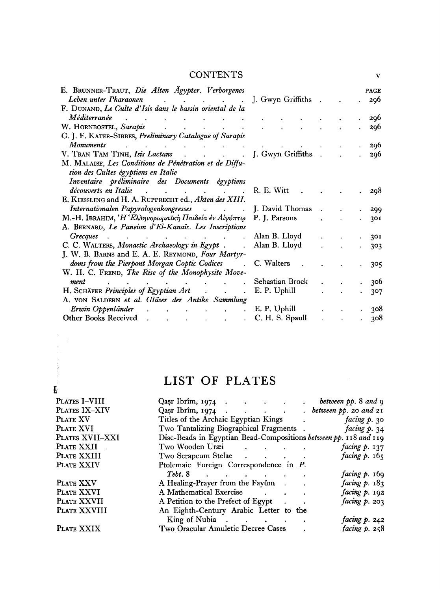#### **CONTENTS**

| E. BRUNNER-TRAUT, Die Alten Ägypter. Verborgenes                                          |                     |  | <b>PAGE</b> |
|-------------------------------------------------------------------------------------------|---------------------|--|-------------|
| Leben unter Pharaonen<br>and the contract of the contract of                              | J. Gwyn Griffiths . |  | 296         |
| F. DUNAND, Le Culte d'Isis dans le bassin oriental de la                                  |                     |  |             |
| Méditerranée                                                                              |                     |  | 296         |
| W. HORNBOSTEL, Sarapis                                                                    |                     |  | 296         |
| G. J. F. KATER-SIBBES, Preliminary Catalogue of Sarapis                                   |                     |  |             |
| <i>Monuments</i>                                                                          |                     |  | -296        |
| V. TRAN TAM TINH, Isis Lactans                                                            | J. Gwyn Griffiths . |  | 296         |
| M. MALAISE, Les Conditions de Pénétration et de Diffu-                                    |                     |  |             |
| sion des Cultes égyptiens en Italie                                                       |                     |  |             |
| Inventaire préliminaire des Documents égyptiens                                           |                     |  |             |
| découverts en Italie<br>and the contract of the contract of                               | R. E. Witt          |  | -298        |
| E. KIESSLING and H. A. RUPPRECHT ed., Akten des XIII.                                     |                     |  |             |
| Internationalen Papyrologenkongresses                                                     | . J. David Thomas   |  | 299         |
| $\mathbf{M}$ .-Η. Ι $\mathbf{B}$ RAHIM, 'Η 'Ελληνορωμαϊκή Παιδεία ἐν Αἰγύπτ $\bm{\omega}$ | P. J. Parsons       |  | 301         |
| A. BERNARD, Le Paneion d'El-Kanaïs. Les Inscriptions                                      |                     |  |             |
| <b>Grecques</b><br><b>All Contracts</b>                                                   | Alan B. Lloyd       |  | 301         |
| C. C. WALTERS, Monastic Archaeology in Egypt.                                             | Alan B. Lloyd       |  | 303         |
| J. W. B. BARNS and E. A. E. REYMOND, Four Martyr-                                         |                     |  |             |
| doms from the Pierpont Morgan Coptic Codices                                              | C. Walters          |  | 305         |
| W. H. C. FREND, The Rise of the Monophysite Move-                                         |                     |  |             |
| ment                                                                                      | Sebastian Brock     |  | 306         |
| H. SCHÄFER Principles of Egyptian Art                                                     | E. P. Uphill        |  | 307         |
| A. VON SALDERN et al. Gläser der Antike Sammlung                                          |                     |  |             |
| Erwin Oppenländer                                                                         | E. P. Uphill        |  | 308         |
| Other Books Received<br>and the company of the company of the                             | C. H. S. Spaull     |  | 308         |

# LIST OF PLATES

 $\frac{d\mathbf{y}}{d\mathbf{x}} = \frac{1}{\mathbf{x}} \mathbf{y} \mathbf{y}$ 

|                 | LIST OF PLATES                                                                  |
|-----------------|---------------------------------------------------------------------------------|
| Ë.              |                                                                                 |
| PLATES I-VIII   | Qasr Ibrîm, 1974 $\cdot$ $\cdot$ $\cdot$ $\cdot$<br>$\cdot$ between pp. 8 and 9 |
| PLATES IX-XIV   | Qasr Ibrîm, 1974 between pp. 20 and 21                                          |
| PLATE XV        | Titles of the Archaic Egyptian Kings . facing p. 30                             |
| PLATE XVI       | Two Tantalizing Biographical Fragments . facing p. 34                           |
| PLATES XVII-XXI | Disc-Beads in Egyptian Bead-Compositions between pp. 118 and 119                |
| PLATE XXII      | Two Wooden Uræi<br>facing $p. 137$                                              |
| PLATE XXIII     | facing $p. 165$<br>Two Serapeum Stelae (Chevrolet Contains)                     |
| PLATE XXIV      | Ptolemaic Foreign Correspondence in P.                                          |
|                 | Tebt. 8<br><i>facing p.</i> 169                                                 |
| PLATE XXV       | facing $p. 183$<br>A Healing-Prayer from the Fayûm                              |
| PLATE XXVI      | A Mathematical Exercise<br>facing $p.$ 192                                      |
| PLATE XXVII     | facing $p.203$<br>A Petition to the Prefect of Egypt .                          |
| PLATE XXVIII    | An Eighth-Century Arabic Letter to the                                          |
|                 | King of Nubia<br>facing $p.242$<br>$\sim$                                       |
| PLATE XXIX      | Two Oracular Amuletic Decree Cases<br>facing p. 258                             |

**v**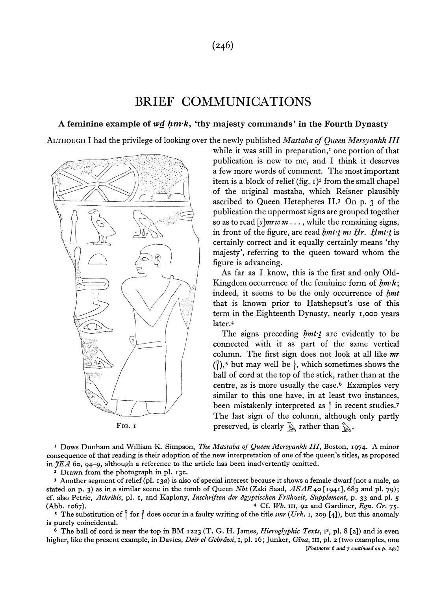#### **(246)**

### BRIEF COMMUNICATIONS

#### **A feminine example of** *wd hm\*k,* **'thy majesty commands' in the Fourth Dynasty**

ALTHOUGH I had the privilege of looking over the newly published *Mastaba of Queen Mersyankh HI* 



while it was still in preparation,<sup>1</sup> one portion of that publication is new to me, and I think it deserves a few more words of comment. The most important item is a block of relief (fig. 1)<sup>2</sup> from the small chapel of the original mastaba, which Reisner plausibly ascribed to Queen Hetepheres II.<sup>3</sup> On p. 3 of the publication the uppermost signs are grouped together so as to read *[s]mrw m* ... , while the remaining signs, in front of the figure, are read *hmt-t m; Hr. Hmt-t* is certainly correct and it equally certainly means 'thy majesty', referring to the queen toward whom the figure is advancing.

As far as I know, this is the first and only Old-Kingdom occurrence of the feminine form of *hm-k\*  indeed, it seems to be the only occurrence of *hmt*  that is known prior to Hatshepsut's use of this term in the Eighteenth Dynasty, nearly 1,000 years later.<sup>4</sup>

The signs preceding *hmt-t* are evidently to be connected with it as part of the same vertical column. The first sign does not look at all like *mr*   $({}^{\mathfrak{g}})$ ,<sup>5</sup> but may well be  $\mathfrak{h}$ , which sometimes shows the ball of cord at the top of the stick, rather than at the centre, as is more usually the case.<sup>6</sup> Examples very similar to this one have, in at least two instances, been mistakenly interpreted as  $\hat{ }$  in recent studies.<sup>7</sup> The last sign of the column, although only partly FIG. 1 **preserved, is clearly**   $\mathbb{R}$  rather than  $\mathbb{R}$ .

1 Dows Dunham and William K. Simpson, *The Mastaba of Queen Mersyankh III,* Boston, 1974. A minor consequence of that reading is their adoption of the new interpretation of one of the queen's titles, as proposed in *JEA* 60, 94-9, although a reference to the article has been inadvertently omitted.

<sup>2</sup> Drawn from the photograph in pl. 13c.

3 Another segment of relief (pi. 13a) is also of special interest because it shows a female dwarf (not a male, as stated on p. 3) as in a similar scene in the tomb of Queen *Nbt* (Zaki Saad, *ASAE* 40 [1941], 683 and pi. 79); cf. also Petrie, *Athribis,* pi. 1, and Kaplony, *Inschriften der agyptischen Fruhzeit, Supplement,* p. 33 and pi. 5 (Abb. 1067). <sup>4</sup> Cf. *Wb.* in, 92 and Gardiner, *Egn. Gr.* 75.

<sup>5</sup> The substitution of  $\int$  for  $\int$  does occur in a faulty writing of the title *smr* (*Urk*. 1, 209 [4]), but this anomaly is purely coincidental.

<sup>6</sup> The ball of cord is near the top in BM 1223 (T. G. H. James, *Hieroglyphic Texts*, 1<sup>2</sup>, pl. 8 [2]) and is even higher, like the present example, in Davies, *Deir el Gebrdwi,* 1, pi. 16; Junker, *Giza,* in, pi. 2 (two examples, one [Footnotes 6 and 7 continued on p. 247]